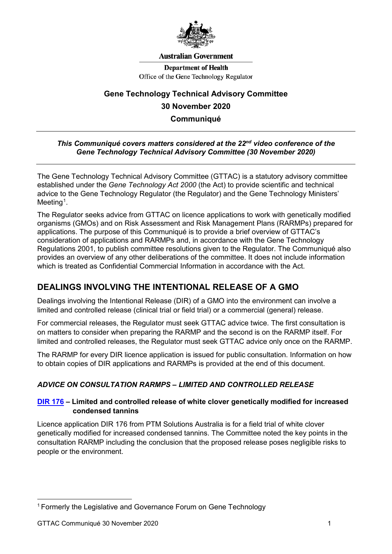

#### **Australian Government**

**Department of Health** Office of the Gene Technology Regulator

# **Gene Technology Technical Advisory Committee 30 November 2020 Communiqué**

#### *This Communiqué covers matters considered at the 22nd video conference of the Gene Technology Technical Advisory Committee (30 November 2020)*

The Gene Technology Technical Advisory Committee (GTTAC) is a statutory advisory committee established under the *Gene Technology Act 2000* (the Act) to provide scientific and technical advice to the Gene Technology Regulator (the Regulator) and the Gene Technology Ministers'  $Meeting<sup>1</sup>$  $Meeting<sup>1</sup>$  $Meeting<sup>1</sup>$ .

The Regulator seeks advice from GTTAC on licence applications to work with genetically modified organisms (GMOs) and on Risk Assessment and Risk Management Plans (RARMPs) prepared for applications. The purpose of this Communiqué is to provide a brief overview of GTTAC's consideration of applications and RARMPs and, in accordance with the Gene Technology Regulations 2001, to publish committee resolutions given to the Regulator. The Communiqué also provides an overview of any other deliberations of the committee. It does not include information which is treated as Confidential Commercial Information in accordance with the Act.

# **DEALINGS INVOLVING THE INTENTIONAL RELEASE OF A GMO**

Dealings involving the Intentional Release (DIR) of a GMO into the environment can involve a limited and controlled release (clinical trial or field trial) or a commercial (general) release.

For commercial releases, the Regulator must seek GTTAC advice twice. The first consultation is on matters to consider when preparing the RARMP and the second is on the RARMP itself. For limited and controlled releases, the Regulator must seek GTTAC advice only once on the RARMP.

The RARMP for every DIR licence application is issued for public consultation. Information on how to obtain copies of DIR applications and RARMPs is provided at the end of this document.

## *ADVICE ON CONSULTATION RARMPS – LIMITED AND CONTROLLED RELEASE*

## **[DIR 176](http://www.ogtr.gov.au/internet/ogtr/publishing.nsf/Content/DIR176) – Limited and controlled release of white clover genetically modified for increased condensed tannins**

Licence application DIR 176 from PTM Solutions Australia is for a field trial of white clover genetically modified for increased condensed tannins. The Committee noted the key points in the consultation RARMP including the conclusion that the proposed release poses negligible risks to people or the environment.

<span id="page-0-0"></span><sup>-</sup><sup>1</sup> Formerly the Legislative and Governance Forum on Gene Technology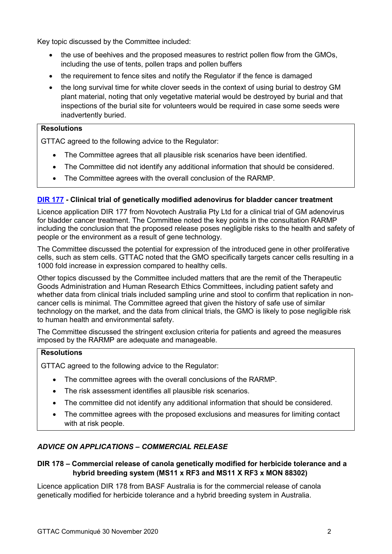Key topic discussed by the Committee included:

- the use of beehives and the proposed measures to restrict pollen flow from the GMOs, including the use of tents, pollen traps and pollen buffers
- the requirement to fence sites and notify the Regulator if the fence is damaged
- the long survival time for white clover seeds in the context of using burial to destroy GM plant material, noting that only vegetative material would be destroyed by burial and that inspections of the burial site for volunteers would be required in case some seeds were inadvertently buried.

#### **Resolutions**

GTTAC agreed to the following advice to the Regulator:

- The Committee agrees that all plausible risk scenarios have been identified.
- The Committee did not identify any additional information that should be considered.
- The Committee agrees with the overall conclusion of the RARMP.

## **[DIR 177](http://www.ogtr.gov.au/internet/ogtr/publishing.nsf/Content/DIR177) - Clinical trial of genetically modified adenovirus for bladder cancer treatment**

Licence application DIR 177 from Novotech Australia Pty Ltd for a clinical trial of GM adenovirus for bladder cancer treatment. The Committee noted the key points in the consultation RARMP including the conclusion that the proposed release poses negligible risks to the health and safety of people or the environment as a result of gene technology.

The Committee discussed the potential for expression of the introduced gene in other proliferative cells, such as stem cells. GTTAC noted that the GMO specifically targets cancer cells resulting in a 1000 fold increase in expression compared to healthy cells.

Other topics discussed by the Committee included matters that are the remit of the Therapeutic Goods Administration and Human Research Ethics Committees, including patient safety and whether data from clinical trials included sampling urine and stool to confirm that replication in noncancer cells is minimal. The Committee agreed that given the history of safe use of similar technology on the market, and the data from clinical trials, the GMO is likely to pose negligible risk to human health and environmental safety.

The Committee discussed the stringent exclusion criteria for patients and agreed the measures imposed by the RARMP are adequate and manageable.

#### **Resolutions**

GTTAC agreed to the following advice to the Regulator:

- The committee agrees with the overall conclusions of the RARMP.
- The risk assessment identifies all plausible risk scenarios.
- The committee did not identify any additional information that should be considered.
- The committee agrees with the proposed exclusions and measures for limiting contact with at risk people.

## *ADVICE ON APPLICATIONS – COMMERCIAL RELEASE*

## **DIR 178 – Commercial release of canola genetically modified for herbicide tolerance and a hybrid breeding system (MS11 x RF3 and MS11 X RF3 x MON 88302)**

Licence application DIR 178 from BASF Australia is for the commercial release of canola genetically modified for herbicide tolerance and a hybrid breeding system in Australia.